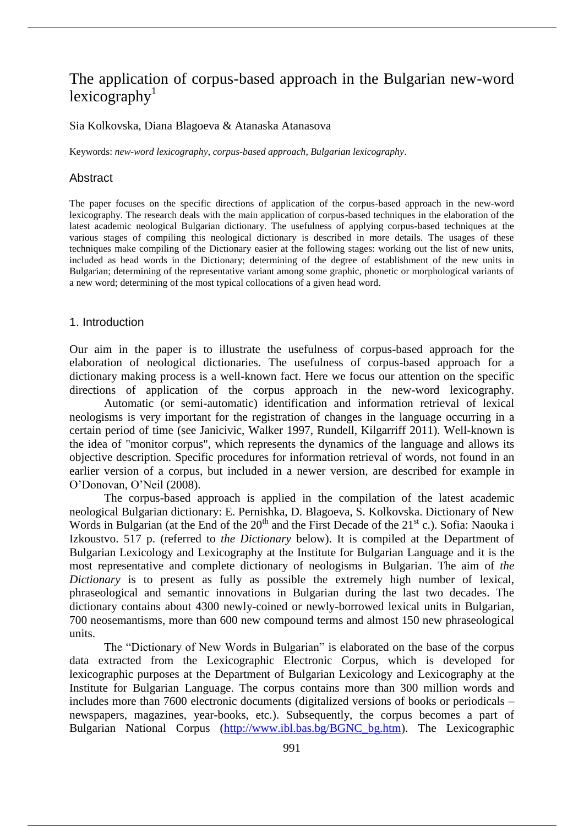# The application of corpus-based approach in the Bulgarian new-word  $lexicography<sup>1</sup>$

#### Sia Kolkovska, Diana Blagoeva & Atanaska Atanasova

Keywords: *new-word lexicography*, *corpus-based approach*, *Bulgarian lexicography*.

#### Abstract

The paper focuses on the specific directions of application of the corpus-based approach in the new-word lexicography. The research deals with the main application of corpus-based techniques in the elaboration of the latest academic neological Bulgarian dictionary. The usefulness of applying corpus-based techniques at the various stages of compiling this neological dictionary is described in more details. The usages of these techniques make compiling of the Dictionary easier at the following stages: working out the list of new units, included as head words in the Dictionary; determining of the degree of establishment of the new units in Bulgarian; determining of the representative variant among some graphic, phonetic or morphological variants of a new word; determining of the most typical collocations of a given head word.

#### 1. Introduction

Our aim in the paper is to illustrate the usefulness of corpus-based approach for the elaboration of neological dictionaries. The usefulness of corpus-based approach for a dictionary making process is a well-known fact. Here we focus our attention on the specific directions of application of the corpus approach in the new-word lexicography.

Automatic (or semi-automatic) identification and information retrieval of lexical neologisms is very important for the registration of changes in the language occurring in a certain period of time (see Janicivic, Walker 1997, Rundell, Kilgarriff 2011). Well-known is the idea of "monitor corpus", which represents the dynamics of the language and allows its objective description. Specific procedures for information retrieval of words, not found in an earlier version of a corpus, but included in a newer version, are described for example in O'Donovan, O'Neil (2008).

The corpus-based approach is applied in the compilation of the latest academic neological Bulgarian dictionary: E. Pernishka, D. Blagoeva, S. Kolkovska. Dictionary of New Words in Bulgarian (at the End of the  $20^{th}$  and the First Decade of the  $21^{st}$  c.). Sofia: Naouka i Izkoustvo. 517 p. (referred to *the Dictionary* below). It is compiled at the Department of Bulgarian Lexicology and Lexicography at the Institute for Bulgarian Language and it is the most representative and complete dictionary of neologisms in Bulgarian. The aim of *the Dictionary* is to present as fully as possible the extremely high number of lexical, phraseological and semantic innovations in Bulgarian during the last two decades. The dictionary contains about 4300 newly-coined or newly-borrowed lexical units in Bulgarian, 700 neosemantisms, more than 600 new compound terms and almost 150 new phraseological units.

The "Dictionary of New Words in Bulgarian" is elaborated on the base of the corpus data extracted from the Lexicographic Electronic Corpus, which is developed for lexicographic purposes at the Department of Bulgarian Lexicology and Lexicography at the Institute for Bulgarian Language. The corpus contains more than 300 million words and includes more than 7600 electronic documents (digitalized versions of books or periodicals – newspapers, magazines, year-books, etc.). Subsequently, the corpus becomes a part of Bulgarian National Corpus (http://www.ibl.bas.bg/BGNC\_bg.htm). The Lexicographic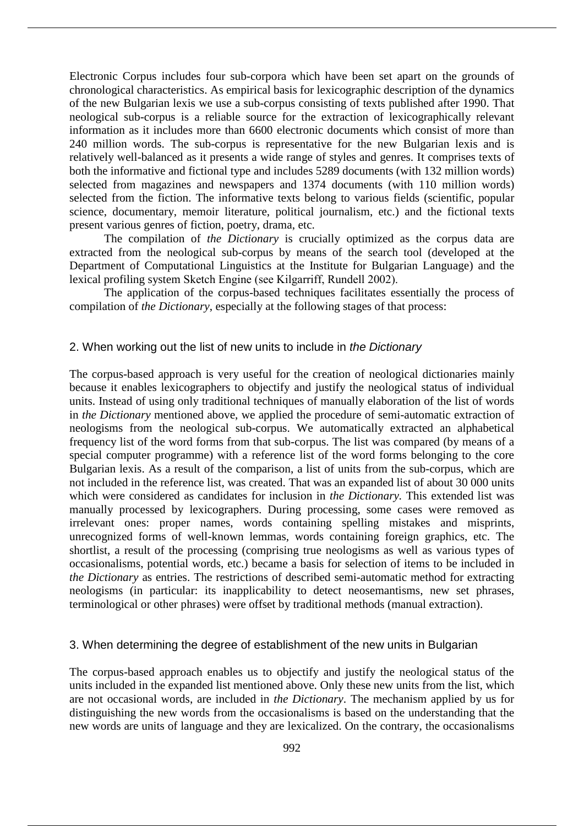Electronic Corpus includes four sub-corpora which have been set apart on the grounds of chronological characteristics. As empirical basis for lexicographic description of the dynamics of the new Bulgarian lexis we use a sub-corpus consisting of texts published after 1990. That neological sub-corpus is a reliable source for the extraction of lexicographically relevant information as it includes more than 6600 electronic documents which consist of more than 240 million words. The sub-corpus is representative for the new Bulgarian lexis and is relatively well-balanced as it presents a wide range of styles and genres. It comprises texts of both the informative and fictional type and includes 5289 documents (with 132 million words) selected from magazines and newspapers and 1374 documents (with 110 million words) selected from the fiction. The informative texts belong to various fields (scientific, popular science, documentary, memoir literature, political journalism, etc.) and the fictional texts present various genres of fiction, poetry, drama, etc.

The compilation of *the Dictionary* is crucially optimized as the corpus data are extracted from the neological sub-corpus by means of the search tool (developed at the Department of Computational Linguistics at the Institute for Bulgarian Language) and the lexical profiling system Sketch Еngine (see Kilgarriff, Rundell 2002).

The application of the corpus-based techniques facilitates essentially the process of compilation of *the Dictionary*, especially at the following stages of that process:

#### 2. When working out the list of new units to include in *the Dictionary*

The corpus-based approach is very useful for the creation of neological dictionaries mainly because it enables lexicographers to objectify and justify the neological status of individual units. Instead of using only traditional techniques of manually elaboration of the list of words in *the Dictionary* mentioned above, we applied the procedure of semi-automatic extraction of neologisms from the neological sub-corpus. We automatically extracted an alphabetical frequency list of the word forms from that sub-corpus. The list was compared (by means of a special computer programme) with a reference list of the word forms belonging to the core Bulgarian lexis. As a result of the comparison, a list of units from the sub-corpus, which are not included in the reference list, was created. That was an expanded list of about 30 000 units which were considered as candidates for inclusion in *the Dictionary.* This extended list was manually processed by lexicographers. During processing, some cases were removed as irrelevant ones: proper names, words containing spelling mistakes and misprints, unrecognized forms of well-known lemmas, words containing foreign graphics, etc. The shortlist, a result of the processing (comprising true neologisms as well as various types of occasionalisms, potential words, etc.) became a basis for selection of items to be included in *the Dictionary* as entries. The restrictions of described semi-automatic method for extracting neologisms (in particular: its inapplicability to detect neosemantisms, new set phrases, terminological or other phrases) were offset by traditional methods (manual extraction).

#### 3. When determining the degree of establishment of the new units in Bulgarian

The corpus-based approach enables us to objectify and justify the neological status of the units included in the expanded list mentioned above. Only these new units from the list, which are not occasional words, are included in *the Dictionary*. The mechanism applied by us for distinguishing the new words from the occasionalisms is based on the understanding that the new words are units of language and they are lexicalized. On the contrary, the occasionalisms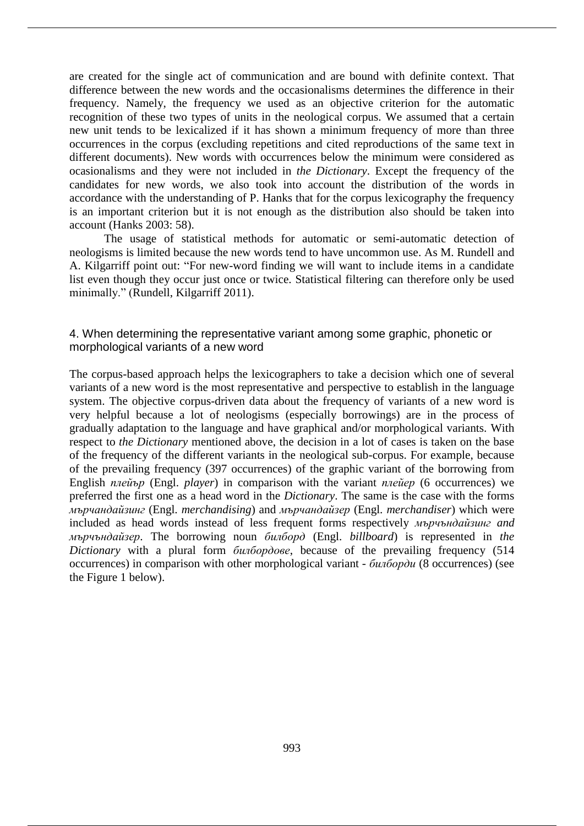are created for the single act of communication and are bound with definite context. That difference between the new words and the occasionalisms determines the difference in their frequency. Namely, the frequency we used as an objective criterion for the automatic recognition of these two types of units in the neological corpus. We assumed that a certain new unit tends to be lexicalized if it has shown a minimum frequency of more than three occurrences in the corpus (excluding repetitions and cited reproductions of the same text in different documents). New words with occurrences below the minimum were considered as ocasionalisms and they were not included in *the Dictionary*. Except the frequency of the candidates for new words, we also took into account the distribution of the words in accordance with the understanding of P. Hanks that for the corpus lexicography the frequency is an important criterion but it is not enough as the distribution also should be taken into account (Hanks 2003: 58).

The usage of statistical methods for automatic or semi-automatic detection of neologisms is limited because the new words tend to have uncommon use. As M. Rundell and A. Kilgarriff point out: "For new-word finding we will want to include items in a candidate list even though they occur just once or twice. Statistical filtering can therefore only be used minimally." (Rundell, Kilgarriff 2011).

## 4. When determining the representative variant among some graphic, phonetic or morphological variants of a new word

The corpus-based approach helps the lexicographers to take a decision which one of several variants of a new word is the most representative and perspective to establish in the language system. The objective corpus-driven data about the frequency of variants of a new word is very helpful because a lot of neologisms (especially borrowings) are in the process of gradually adaptation to the language and have graphical and/or morphological variants. With respect to *the Dictionary* mentioned above, the decision in a lot of cases is taken on the base of the frequency of the different variants in the neological sub-corpus. For example, because of the prevailing frequency (397 occurrences) of the graphic variant of the borrowing from English *плейър* (Engl. *player*) in comparison with the variant *плейер* (6 occurrences) we preferred the first one as a head word in the *Dictionary*. The same is the case with the forms *мърчандайзинг* (Engl. *merchandising*) and *мърчандайзер* (Engl. *merchandiser*) which were included as head words instead of less frequent forms respectively *мърчъндайзинг and мърчъндайзер*. The borrowing noun *билборд* (Engl. *billboard*) is represented in *the Dictionary* with a plural form *билбордове*, because of the prevailing frequency (514 occurrences) in comparison with other morphological variant - *билборди* (8 occurrences) (see the Figure 1 below).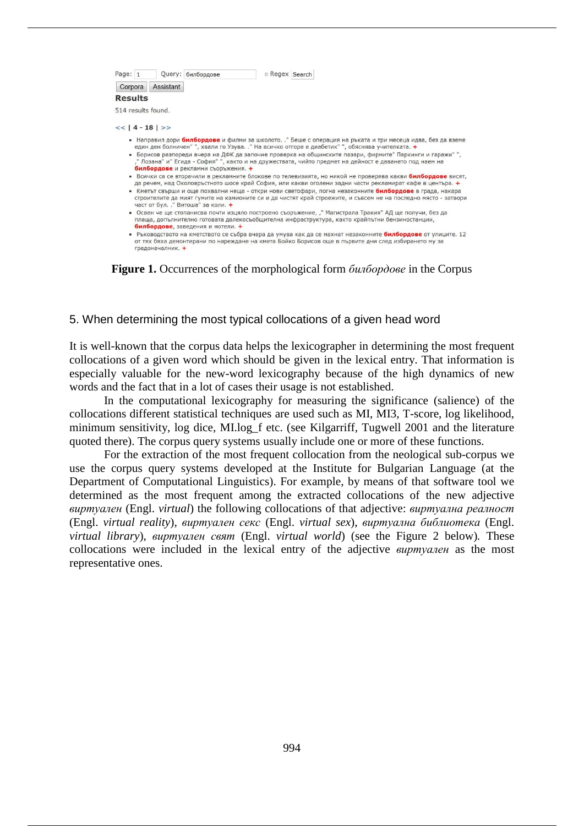

от тях бяха демонтирани по нареждане на кмета Бойко Борисов още в първите дни след избирането му за градоначалник. +

**Figure 1.** Occurrences of the morphological form *билбордове* in the Corpus

## 5. When determining the most typical collocations of a given head word

It is well-known that the corpus data helps the lexicographer in determining the most frequent collocations of a given word which should be given in the lexical entry. That information is especially valuable for the new-word lexicography because of the high dynamics of new words and the fact that in a lot of cases their usage is not established.

In the computational lexicography for measuring the significance (salience) of the collocations different statistical techniques are used such as MI, MI3, T-score, log likelihood, minimum sensitivity, log dice, MI.log f etc. (see Kilgarriff, Tugwell 2001 and the literature quoted there). The corpus query systems usually include one or more of these functions.

For the extraction of the most frequent collocation from the neological sub-corpus we use the corpus query systems developed at the Institute for Bulgarian Language (at the Department of Computational Linguistics). For example, by means of that software tool we determined as the most frequent among the extracted collocations of the new adjective *виртуален* (Engl. *virtual*) the following collocations of that adjective: *виртуална реалност*  (Engl. *virtual reality*), *виртуален секс* (Engl. *virtual sex*), *виртуална библиотека* (Engl. *virtual library*), *виртуален свят* (Engl. *virtual world*) (see the Figure 2 below)*.* These collocations were included in the lexical entry of the adjective *виртуален* as the most representative ones.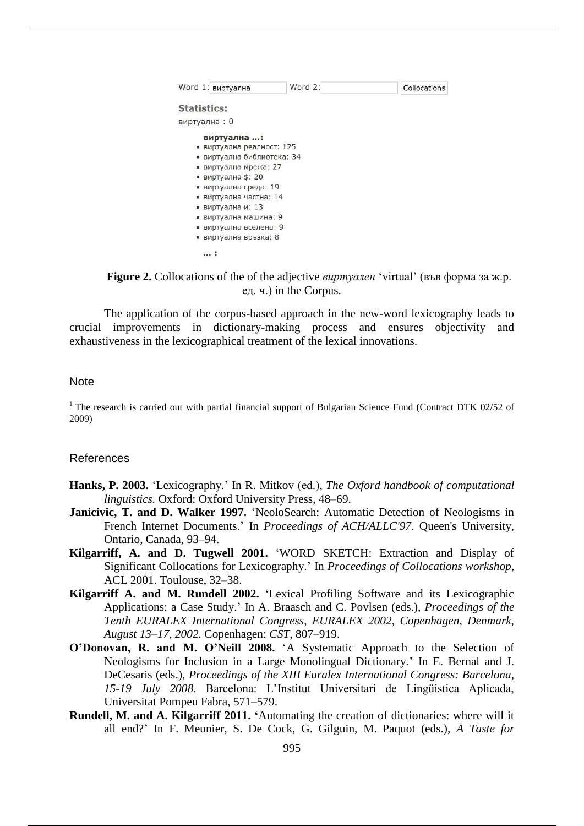| Word 1: виртуална                                                                                                                                                                                                                                                                   | Word 2: | Collocations |
|-------------------------------------------------------------------------------------------------------------------------------------------------------------------------------------------------------------------------------------------------------------------------------------|---------|--------------|
| <b>Statistics:</b>                                                                                                                                                                                                                                                                  |         |              |
| виртуална: 0                                                                                                                                                                                                                                                                        |         |              |
| виртуална :<br>• виртуална реалност: 125<br>• виртуална библиотека: 34<br>виртуална мрежа: 27<br>u,<br>■ виртуална \$: 20<br>виртуална среда: 19<br>٠<br>виртуална частна: 14<br>٠<br>■ виртуална и: 13<br>• виртуална машина: 9<br>• виртуална вселена: 9<br>• виртуална връзка: 8 |         |              |
|                                                                                                                                                                                                                                                                                     |         |              |

**Figure 2.** Collocations of the of the adjective *виртуален* 'virtual' (във форма за ж.р. ед. ч.) in the Corpus.

The application of the corpus-based approach in the new-word lexicography leads to crucial improvements in dictionary-making process and ensures objectivity and exhaustiveness in the lexicographical treatment of the lexical innovations.

# Note

<sup>1</sup> The research is carried out with partial financial support of Bulgarian Science Fund (Contract DTK 02/52 of 2009)

# References

- **Hanks, P. 2003.** 'Lexicography.' In R. Mitkov (еd.), *The Oxford handbook of computational linguistics.* Oxford: Oxford University Press, 48–69.
- **Janicivic, T. and D. Walker 1997.** 'NeoloSearch: Automatic Detection of Neologisms in French Internet Documents.' In *Proceedings of ACH/ALLC'97*. Queen's University, Ontario, Canada, 93–94.
- **Kilgarriff, A. and D. Tugwell 2001.** 'WORD SKETCH: Extraction and Display of Significant Collocations for Lexicography.' In *Proceedings of Collocations workshop*, ACL 2001. Toulouse, 32–38.
- **Kilgarriff A. and M. Rundell 2002.** 'Lexical Profiling Software and its Lexicographic Applications: a Case Study.' In A. Braasch and C. Povlsen (eds.), *Proceedings of the Tenth EURALEX International Congress, EURALEX 2002, Copenhagen, Denmark, August 13–17, 2002.* Copenhagen: *CST*, 807–919.
- **O'Donovan, R. and M. O'Neill 2008.** 'A Systematic Approach to the Selection of Neologisms for Inclusion in a Large Monolingual Dictionary.' In E. Bernal and J. DeCesaris (eds.), *Proceedings of the XIII Euralex International Congress: Barcelona, 15-19 July 2008*. Barcelona: L'Institut Universitari de Lingüistica Aplicada, Universitat Pompeu Fabra, 571–579.
- **Rundell, M. and A. Kilgarriff 2011. '**Automating the creation of dictionaries: where will it all end?' In F. Meunier, S. De Cock, G. Gilguin, M. Paquot (eds.), *A Taste for*